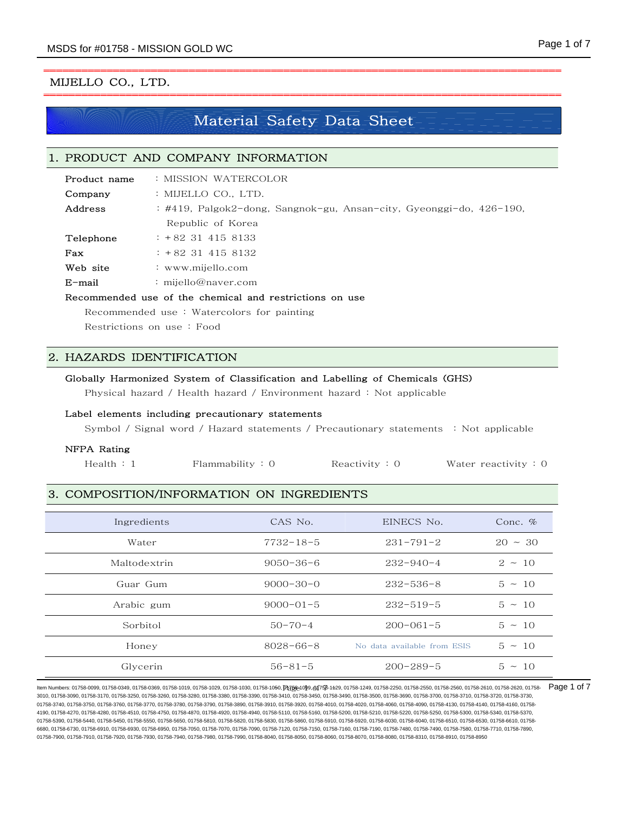# MIJELLO CO., LTD.

# Material Safety Data Sheet

# 1. PRODUCT AND COMPANY INFORMATION

| Product name | : MISSION WATERCOLOR                                          |
|--------------|---------------------------------------------------------------|
| Company      | : MIJELLO CO., LTD.                                           |
| Address      | :#419,Palgok2-dong,Sangnok-gu,Ansan-city,Gyeonggi-do,426-190, |
|              | Republic of Korea                                             |
| Telephone    | $: +82$ 31 415 8133                                           |
| Fax          | $: +82$ 31 415 8132                                           |
| Web site     | : www.mijello.com                                             |
| $E$ -mail    | : mijello@naver.com                                           |

## Recommended use of the chemical and restrictions on use

Recommended use : Watercolors for painting

Restrictions on use : Food

# 2. HAZARDS IDENTIFICATION

# Globally Harmonized System of Classification and Labelling of Chemicals (GHS)

Physical hazard / Health hazard / Environment hazard : Not applicable

## Label elements including precautionary statements

Symbol / Signal word / Hazard statements / Precautionary statements : Not applicable

#### NFPA Rating

| Health : 1 | Flammablity: 0 | Reactivity : $0$ | Water reactivity $: 0$ |
|------------|----------------|------------------|------------------------|
|------------|----------------|------------------|------------------------|

# 3. COMPOSITION/INFORMATION ON INGREDIENTS

| Ingredients  | CAS No.         | EINECS No.                  | Conc. $%$    |
|--------------|-----------------|-----------------------------|--------------|
| Water        | $7732 - 18 - 5$ | $231 - 791 - 2$             | $20 \sim 30$ |
| Maltodextrin | $9050 - 36 - 6$ | $232 - 940 - 4$             | $2 \sim 10$  |
| Guar Gum     | $9000 - 30 - 0$ | $232 - 536 - 8$             | $5 \sim 10$  |
| Arabic gum   | $9000 - 01 - 5$ | $232 - 519 - 5$             | $5 \sim 10$  |
| Sorbitol     | $50 - 70 - 4$   | $200 - 061 - 5$             | $5 \sim 10$  |
| Honey        | $8028 - 66 - 8$ | No data available from ESIS | $5 \sim 10$  |
| Glycerin     | $56 - 81 - 5$   | $200 - 289 - 5$             | $5 \sim 10$  |

ltem Numbers: 01758-0099, 01758-0349, 01758-0369, 01758-1019, 01758-1029, 01758-1030, 01758-10<del>50, DIZ 58-1050, DIZ 58-099, 01758-129,</del> 01758-1249, 01768-2250, 01758-2550, 01758-2560, 01758-2610, 01758-2620, 01758-2560, 01 3010, 01758-3090, 01758-3170, 01758-3250, 01758-3260, 01758-3280, 01758-3380, 01758-3390, 01758-3410, 01758-3450, 01758-3490, 01758-3500, 01758-3690, 01758-3700, 01758-3710, 01758-3720, 01758-3730, 01758-3740, 01758-3750, 01758-3760, 01758-3770, 01758-3780, 01758-3990, 01758-3930, 01758-3920, 01758-4010, 01758-4020, 01758-4060, 01758-4090, 01758-4130, 01758-4140, 01758-4160, 01758-4120, 01758-4150, 01758-4160, 01758-4 4190, 01758-4270, 01758-4280, 01758-4510, 01758-4750, 01758-4870, 01758-4920, 01758-4940, 01758-5110, 01758-5160, 01758-5200, 01758-5210, 01758-5220, 01758-5250, 01758-5300, 01758-5340, 01758-5370, 01758-5390, 01758-5440, 01758-5450, 01758-5550, 01758-5650, 01758-5810, 01758-5820, 01758-5830, 01758-5860, 01758-5910, 01758-5920, 01758-6030, 01758-6040, 01758-6510, 01758-6530, 01758-6610, 01758- 6680, 01758-6730, 01758-6910, 01758-6930, 01758-6950, 01758-7070, 01758-7090, 01758-7120, 01758-7150, 01758-7160, 01758-7190, 01758-7480, 01758-7480, 01758-7480, 01758-7580, 01758-7710, 01758-7480, 01758-7480, 01758-7890, 0 01758-7900, 01758-7910, 01758-7920, 01758-7930, 01758-7940, 01758-7980, 01758-7990, 01758-8040, 01758-8050, 01758-8060, 01758-8070, 01758-8080, 01758-8310, 01758-8910, 01758-8950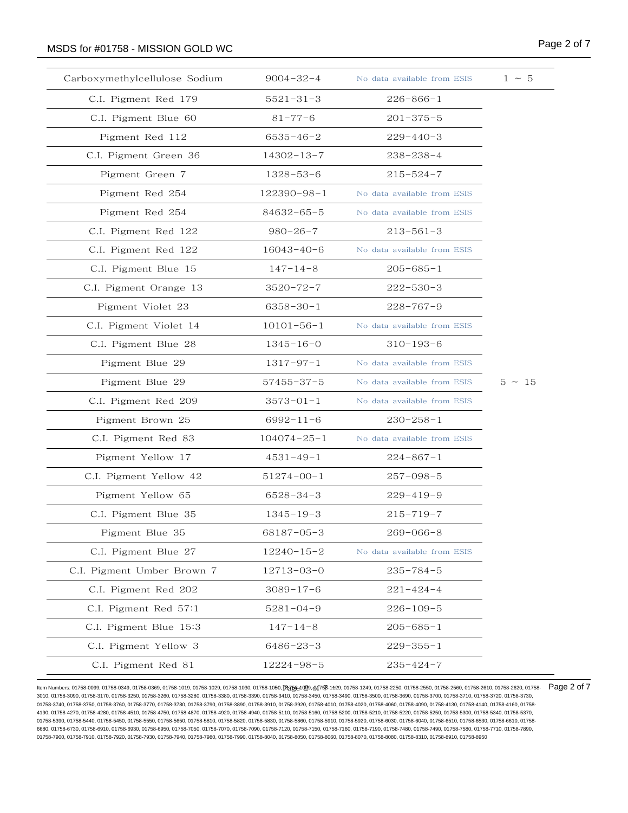# MSDS for #01758 - MISSION GOLD WC **Analyzis and Contact Contact Contact Contact Contact Contact Contact Contact Contact Contact Contact Contact Contact Contact Contact Contact Contact Contact Contact Contact Contact Contac**

| Carboxymethylcellulose Sodium | $9004 - 32 - 4$   | No data available from ESIS | $1 \sim 5$  |
|-------------------------------|-------------------|-----------------------------|-------------|
| C.I. Pigment Red 179          | $5521 - 31 - 3$   | $226 - 866 - 1$             |             |
| C.I. Pigment Blue 60          | $81 - 77 - 6$     | 201-375-5                   |             |
| Pigment Red 112               | 6535-46-2         | 229-440-3                   |             |
| C.I. Pigment Green 36         | 14302-13-7        | 238-238-4                   |             |
| Pigment Green 7               | 1328-53-6         | $215 - 524 - 7$             |             |
| Pigment Red 254               | 122390-98-1       | No data available from ESIS |             |
| Pigment Red 254               | 84632-65-5        | No data available from ESIS |             |
| C.I. Pigment Red 122          | $980 - 26 - 7$    | 213-561-3                   |             |
| C.I. Pigment Red 122          | 16043-40-6        | No data available from ESIS |             |
| C.I. Pigment Blue 15          | $147 - 14 - 8$    | $205 - 685 - 1$             |             |
| C.I. Pigment Orange 13        | $3520 - 72 - 7$   | $222 - 530 - 3$             |             |
| Pigment Violet 23             | $6358 - 30 - 1$   | $228 - 767 - 9$             |             |
| C.I. Pigment Violet 14        | 10101-56-1        | No data available from ESIS |             |
| C.I. Pigment Blue 28          | $1345 - 16 - 0$   | $310 - 193 - 6$             |             |
| Pigment Blue 29               | $1317 - 97 - 1$   | No data available from ESIS |             |
| Pigment Blue 29               | 57455-37-5        | No data available from ESIS | $5 \sim 15$ |
| C.I. Pigment Red 209          | $3573 - 01 - 1$   | No data available from ESIS |             |
| Pigment Brown 25              | $6992 - 11 - 6$   | $230 - 258 - 1$             |             |
| C.I. Pigment Red 83           | $104074 - 25 - 1$ | No data available from ESIS |             |
| Pigment Yellow 17             | $4531 - 49 - 1$   | 224-867-1                   |             |
| C.I. Pigment Yellow 42        | 51274-00-1        | 257-098-5                   |             |
| Pigment Yellow 65             | 6528-34-3         | 229-419-9                   |             |
| C.I. Pigment Blue 35          | 1345-19-3         | 215-719-7                   |             |
| Pigment Blue 35               | 68187-05-3        | $269 - 066 - 8$             |             |
| C.I. Pigment Blue 27          | $12240 - 15 - 2$  | No data available from ESIS |             |
| C.I. Pigment Umber Brown 7    | 12713-03-0        | $235 - 784 - 5$             |             |
| C.I. Pigment Red 202          | $3089 - 17 - 6$   | $221 - 424 - 4$             |             |
| C.I. Pigment Red 57:1         | 5281-04-9         | $226 - 109 - 5$             |             |
| C.I. Pigment Blue 15:3        | $147 - 14 - 8$    | $205 - 685 - 1$             |             |
| C.I. Pigment Yellow 3         | 6486-23-3         | $229 - 355 - 1$             |             |
| C.I. Pigment Red 81           | 12224-98-5        | 235-424-7                   |             |

ltem Numbers: 01758-0099, 01758-0349, 01758-0369, 01758-1019, 01758-1029, 01758-1030, 01758-10<del>50, Dgg@1</del>@9, **of758-129, 01758-1249, 01758-2250, 01758-2550, 01758-2560, 01758-2610, 01758-2610, 01758-2620, 01758-2610, 01758** 3010, 01758-3090, 01758-3170, 01758-3250, 01758-3260, 01758-3280, 01758-3380, 01758-3390, 01758-3410, 01758-3450, 01758-3490, 01758-3500, 01758-3690, 01758-3700, 01758-3710, 01758-3720, 01758-3730, 01758-3740, 01758-3750, 01758-3760, 01758-3770, 01758-3780, 01758-3890, 01758-3890, 01758-3920, 01758-4010, 01758-4020, 01758-4060, 01758-4090, 01758-4130, 01758-4140, 01758-4160, 01758-4020, 01758-4130, 01758-4160, 01758-4 4190, 01758-4270, 01758-4280, 01758-4510, 01758-4750, 01758-4870, 01758-4920, 01758-4940, 01758-5110, 01758-5160, 01758-5200, 01758-5210, 01758-5220, 01758-5250, 01758-5300, 01758-5340, 01758-5370, 01758-5390, 01758-5440, 01758-5450, 01758-5550, 01758-5650, 01758-5810, 01758-5820, 01758-5830, 01758-5860, 01758-5910, 01758-5920, 01758-6030, 01758-6040, 01758-6510, 01758-6530, 01758-6610, 01758- 6680, 01758-6730, 01758-6910, 01758-6930, 01758-6950, 01758-7070, 01758-7070, 01758-7120, 01758-7150, 01758-7160, 01758-7190, 01758-7480, 01758-7480, 01758-7480, 01758-7580, 01758-7710, 01758-7480, 01758-7480, 01758-7890, 0 01758-7900, 01758-7910, 01758-7920, 01758-7930, 01758-7940, 01758-7980, 01758-7990, 01758-8040, 01758-8050, 01758-8060, 01758-8070, 01758-8080, 01758-8310, 01758-8910, 01758-8950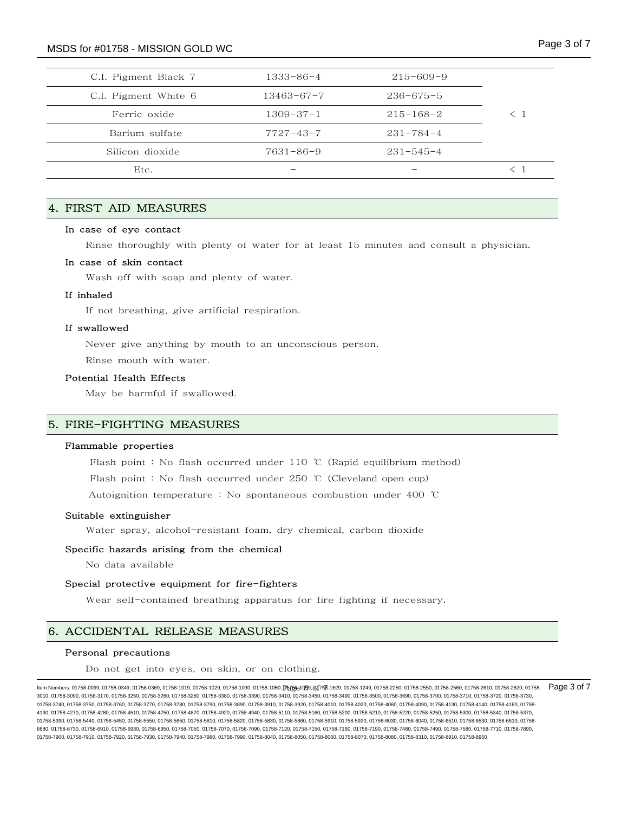| C.I. Pigment Black 7 | $1333 - 86 - 4$  | $215 - 609 - 9$ |             |
|----------------------|------------------|-----------------|-------------|
| C.I. Pigment White 6 | $13463 - 67 - 7$ | $236 - 675 - 5$ |             |
| Ferric oxide         | $1309 - 37 - 1$  | $215 - 168 - 2$ | $\langle$ 1 |
| Barium sulfate       | $7727 - 43 - 7$  | $231 - 784 - 4$ |             |
| Silicon dioxide      | $7631 - 86 - 9$  | $231 - 545 - 4$ |             |
| Etc.                 |                  |                 | $\lt$ 1     |
|                      |                  |                 |             |

# 4. FIRST AID MEASURES

# In case of eye contact

Rinse thoroughly with plenty of water for at least 15 minutes and consult a physician.

#### In case of skin contact

Wash off with soap and plenty of water.

## If inhaled

If not breathing, give artificial respiration.

## If swallowed

Never give anything by mouth to an unconscious person.

Rinse mouth with water.

# Potential Health Effects

May be harmful if swallowed.

# 5. FIRE-FIGHTING MEASURES

### Flammable properties

Flash point : No flash occurred under 110 ℃ (Rapid equilibrium method)

Flash point : No flash occurred under 250 ℃ (Cleveland open cup)

Autoignition temperature : No spontaneous combustion under 400 ℃

#### Suitable extinguisher

Water spray, alcohol-resistant foam, dry chemical, carbon dioxide

#### Specific hazards arising from the chemical

No data available

#### Special protective equipment for fire-fighters

Wear self-contained breathing apparatus for fire fighting if necessary.

# 6. ACCIDENTAL RELEASE MEASURES

#### Personal precautions

Do not get into eyes, on skin, or on clothing.

ltem Numbers: 01758-0099, 01758-0349, 01758-0369, 01758-1019, 01758-1029, 01758-1030, 01758-10<del>50, Dgg@1</del>(g9, of758-129, 01758-1249, 01758-2250, 01758-2550, 01758-2560, 01758-2610, 01758-2610, 01758-2620, 01758-2610, 01758 3010, 01758-3090, 01758-3170, 01758-3250, 01758-3260, 01758-3280, 01758-3380, 01758-3390, 01758-3410, 01758-3450, 01758-3490, 01758-3500, 01758-3690, 01758-3700, 01758-3710, 01758-3720, 01758-3730, 01758-3740, 01758-3750, 01758-3760, 01758-3770, 01758-3780, 01758-3990, 01758-3930, 01758-3920, 01758-4010, 01758-4020, 01758-4060, 01758-4090, 01758-4130, 01758-4140, 01758-4160, 01758-4120, 01758-4150, 01758-4160, 01758-4 4190, 01758-4270, 01758-4280, 01758-4510, 01758-4750, 01758-4870, 01758-4920, 01758-5410, 01758-5110, 01758-510, 01758-5200, 01758-5210, 01758-5220, 01758-5220, 01758-5250, 01758-5200, 01758-5210, 01758-5210, 01758-5210, 01 01758-5390, 01758-5440, 01758-5450, 01758-5550, 01758-5650, 01758-5810, 01758-5820, 01758-5830, 01758-5860, 01758-5910, 01758-5920, 01758-6030, 01758-6040, 01758-6510, 01758-6610, 01758-6040, 01758-6530, 01758-6610, 01758-6 6680, 01758-6730, 01758-6910, 01758-6930, 01758-6950, 01758-7070, 01758-7090, 01758-7120, 01758-7150, 01758-7160, 01758-7190, 01758-7480, 01758-7480, 01758-7480, 01758-7580, 01758-7710, 01758-7480, 01758-7480, 01758-7890, 0 01758-7900, 01758-7910, 01758-7920, 01758-7930, 01758-7940, 01758-7980, 01758-7990, 01758-8040, 01758-8050, 01758-8060, 01758-8070, 01758-8080, 01758-8310, 01758-8910, 01758-8950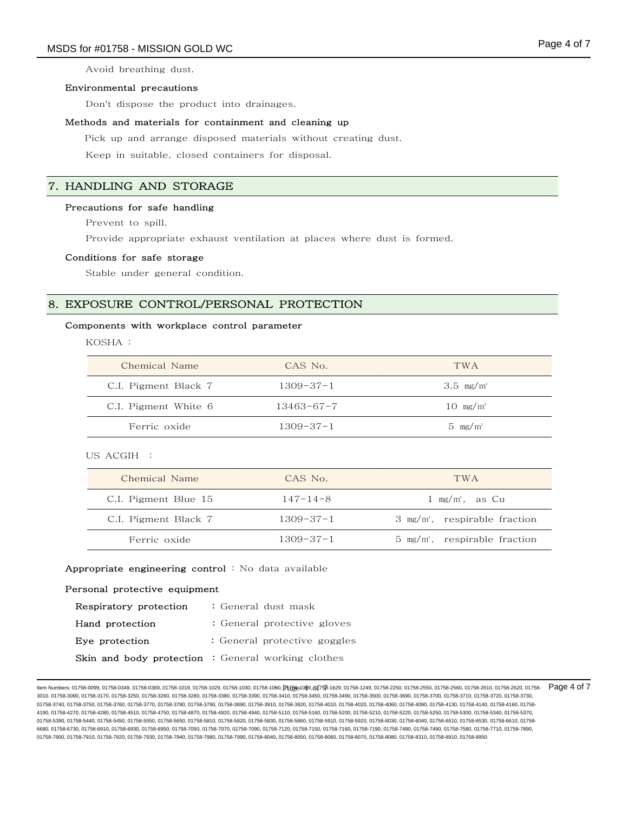Avoid breathing dust.

## Environmental precautions

Don't dispose the product into drainages.

#### Methods and materials for containment and cleaning up

Pick up and arrange disposed materials without creating dust.

Keep in suitable, closed containers for disposal.

# 7. HANDLING AND STORAGE

## Precautions for safe handling

Prevent to spill.

Provide appropriate exhaust ventilation at places where dust is formed.

#### Conditions for safe storage

Stable under general condition.

# 8. EXPOSURE CONTROL/PERSONAL PROTECTION

## Components with workplace control parameter

KOSHA :

| Chemical Name        | CAS No.          | TWA <sup>.</sup>    |
|----------------------|------------------|---------------------|
| C.I. Pigment Black 7 | 1309-37-1        | 3.5 $mg/m^3$        |
| C.I. Pigment White 6 | $13463 - 67 - 7$ | $10 \text{ mg/m}^3$ |
| Ferric oxide         | $1309 - 37 - 1$  | $5 \text{ mg/m}^3$  |

US ACGIH :

| Chemical Name        | CAS No.         | TWA <sup>.</sup>                            |
|----------------------|-----------------|---------------------------------------------|
| C.I. Pigment Blue 15 | $147 - 14 - 8$  | $1 \text{ mg/m}^3$ , as Cu                  |
| C.I. Pigment Black 7 | $1309 - 37 - 1$ | $3$ mg/m <sup>3</sup> , respirable fraction |
| Ferric oxide         | $1309 - 37 - 1$ | $5 \text{ mg/m}$ , respirable fraction      |

#### Appropriate engineering control : No data available

#### Personal protective equipment

| Respiratory protection | : General dust mask                                       |
|------------------------|-----------------------------------------------------------|
| Hand protection        | : General protective gloves                               |
| Eye protection         | : General protective goggles                              |
|                        | <b>Skin and body protection :</b> General working clothes |

ltem Numbers: 01758-0099, 01758-0349, 01758-0369, 01758-1019, 01758-1029, 01758-1030, 01758-10<del>50, DIZ 58-1050, DIZ 58-049, 01758-1219, 01758-2250, 01758-2550, 01758-2560, 01758-2610, 01758-2610, 01758-2620, 01758-2610, 01</del> 3010, 01758-3090, 01758-3170, 01758-3250, 01758-3260, 01758-3280, 01758-3380, 01758-3390, 01758-3410, 01758-3450, 01758-3490, 01758-3500, 01758-3690, 01758-3700, 01758-3710, 01758-3720, 01758-3730, 01758-3740, 01758-3750, 01758-3760, 01758-3770, 01758-3780, 01758-3990, 01758-3930, 01758-3920, 01758-4010, 01758-4020, 01758-4060, 01758-4090, 01758-4130, 01758-4140, 01758-4160, 01758-4120, 01758-4150, 01758-4160, 01758-4 4190, 01758-4270, 01758-4280, 01758-4510, 01758-4750, 01758-4870, 01758-4920, 01758-4940, 01758-5110, 01758-5160, 01758-5200, 01758-5210, 01758-5220, 01758-5250, 01758-5300, 01758-5340, 01758-5370, 01758-5390, 01758-5440, 01758-5450, 01758-5550, 01758-5650, 01758-5810, 01758-5820, 01758-5830, 01758-5860, 01758-5910, 01758-5920, 01758-6030, 01758-6040, 01758-6510, 01758-6530, 01758-6610, 01758- 6680, 01758-6730, 01758-6910, 01758-6930, 01758-6950, 01758-7070, 01758-7090, 01758-7120, 01758-7150, 01758-7160, 01758-7190, 01758-7480, 01758-7480, 01758-7480, 01758-7580, 01758-7710, 01758-7480, 01758-7480, 01758-7890, 0 01758-7900, 01758-7910, 01758-7920, 01758-7930, 01758-7940, 01758-7980, 01758-7990, 01758-8040, 01758-8050, 01758-8060, 01758-8070, 01758-8080, 01758-8310, 01758-8910, 01758-8950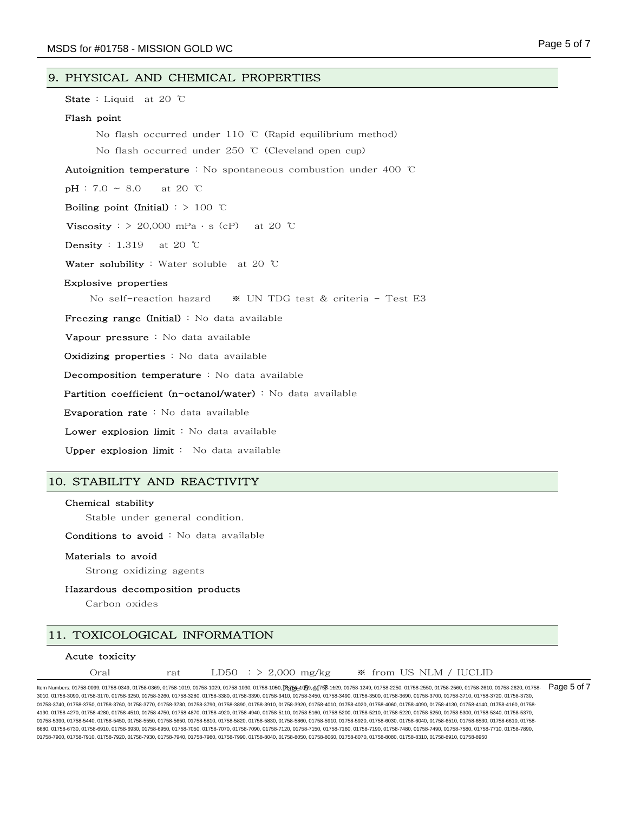## 9. PHYSICAL AND CHEMICAL PROPERTIES

State : Liquid at 20 ℃

#### Flash point

No flash occurred under 110 ℃ (Rapid equilibrium method)

No flash occurred under 250 ℃ (Cleveland open cup)

Autoignition temperature : No spontaneous combustion under 400 ℃

 $pH : 7.0 \sim 8.0$  at 20 °C

Boiling point (Initial) : > 100 ℃

Viscosity :  $> 20,000$  mPa · s (cP) at 20 ℃

**Density** : 1.319 at 20 ℃

Water solubility : Water soluble at 20 ℃

#### Explosive properties

No self-reaction hazard ※ UN TDG test & criteria - Test E3

Freezing range (Initial) : No data available

Vapour pressure : No data available

Oxidizing properties : No data available

Decomposition temperature : No data available

Partition coefficient (n-octanol/water) : No data available

Evaporation rate : No data available

Lower explosion limit : No data available

Upper explosion limit : No data available

# 10. STABILITY AND REACTIVITY

## Chemical stability

Stable under general condition.

Conditions to avoid : No data available

#### Materials to avoid

Strong oxidizing agents

## Hazardous decomposition products

Carbon oxides

# 11. TOXICOLOGICAL INFORMATION

## Acute toxicity

| Oral<br>rat |  | LD50 : $> 2,000$ mg/kg |  |  | ☀ from US NLM / IUCLID |  |  |
|-------------|--|------------------------|--|--|------------------------|--|--|
|-------------|--|------------------------|--|--|------------------------|--|--|

ltem Numbers: 01758-0099, 01758-0349, 01758-0369, 01758-1019, 01758-1029, 01758-1030, 01758-10<del>50, DIZ 58-1050, DIZ 58-1050, 01758-129,</del> 01758-129, 01758-2109, 01768-2250, 01758-2550, 01758-2560, 01758-2560, 01758-2560, 01 3010, 01758-3090, 01758-3170, 01758-3250, 01758-3260, 01758-3280, 01758-3380, 01758-3390, 01758-3410, 01758-3450, 01758-3490, 01758-3500, 01758-3690, 01758-3700, 01758-3710, 01758-3720, 01758-3730, 01758-3740, 01758-3750, 01758-3760, 01758-3770, 01758-3780, 01758-3990, 01758-3930, 01758-3920, 01758-4010, 01758-4020, 01758-4060, 01758-4090, 01758-4130, 01758-4140, 01758-4160, 01758-4120, 01758-4150, 01758-4160, 01758-4 4190, 01758-4270, 01758-4280, 01758-4510, 01758-4750, 01758-4870, 01758-4920, 01758-4940, 01758-5110, 01758-5160, 01758-5200, 01758-5210, 01758-5220, 01758-5250, 01758-5300, 01758-5340, 01758-5370, 01758-5390, 01758-5440, 01758-5450, 01758-5550, 01758-5650, 01758-5810, 01758-5820, 01758-5830, 01758-5860, 01758-5910, 01758-5920, 01758-6030, 01758-6040, 01758-6510, 01758-6610, 01758-6040, 01758-6530, 01758-6610, 01758-6 6680, 01758-6730, 01758-6910, 01758-6930, 01758-6950, 01758-7070, 01758-7090, 01758-7120, 01758-7150, 01758-7160, 01758-7190, 01758-7480, 01758-7480, 01758-7480, 01758-7580, 01758-7710, 01758-7480, 01758-7480, 01758-7890, 0 01758-7900, 01758-7910, 01758-7920, 01758-7930, 01758-7940, 01758-7980, 01758-7990, 01758-8040, 01758-8050, 01758-8060, 01758-8070, 01758-8080, 01758-8310, 01758-8910, 01758-8950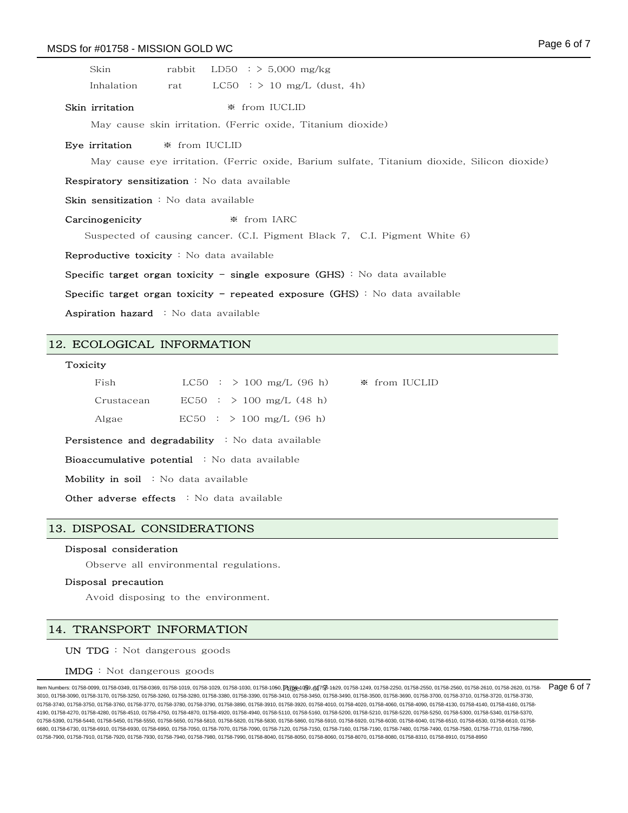| Skin                                                                         | rabbit        | LD50 : $> 5,000$ mg/kg                                                                      |  |  |
|------------------------------------------------------------------------------|---------------|---------------------------------------------------------------------------------------------|--|--|
| Inhalation                                                                   | rat           | $LC50$ : $> 10$ mg/L (dust, 4h)                                                             |  |  |
| Skin irritation                                                              |               | ☀ from IUCLID                                                                               |  |  |
|                                                                              |               | May cause skin irritation. (Ferric oxide, Titanium dioxide)                                 |  |  |
| Eye irritation                                                               | * from IUCLID |                                                                                             |  |  |
|                                                                              |               | May cause eye irritation. (Ferric oxide, Barium sulfate, Titanium dioxide, Silicon dioxide) |  |  |
| Respiratory sensitization : No data available                                |               |                                                                                             |  |  |
| $\operatorname{\mathsf{Skin}}$ sensitization : No data available             |               |                                                                                             |  |  |
| Carcinogenicity                                                              |               | $*$ from IARC                                                                               |  |  |
|                                                                              |               | Suspected of causing cancer. (C.I. Pigment Black 7, C.I. Pigment White 6)                   |  |  |
| <b>Reproductive toxicity</b> : No data available                             |               |                                                                                             |  |  |
| Specific target organ toxicity - single exposure $(GHS)$ : No data available |               |                                                                                             |  |  |
| Specific target organ toxicity – repeated exposure (GHS): No data available  |               |                                                                                             |  |  |
| Aspiration hazard : No data available                                        |               |                                                                                             |  |  |
|                                                                              |               |                                                                                             |  |  |

# 12. ECOLOGICAL INFORMATION

#### Toxicity

| Fish       | $LC50$ : $> 100$ mg/L (96 h) | ☀ from IUCLID |
|------------|------------------------------|---------------|
| Crustacean | $EC50$ : $> 100$ mg/L (48 h) |               |
| Algae      | $EC50$ : $> 100$ mg/L (96 h) |               |

Persistence and degradability : No data available

Bioaccumulative potential : No data available

Mobility in soil : No data available

Other adverse effects : No data available

# 13. DISPOSAL CONSIDERATIONS

## Disposal consideration

Observe all environmental regulations.

#### Disposal precaution

Avoid disposing to the environment.

# 14. TRANSPORT INFORMATION

UN TDG : Not dangerous goods

#### IMDG : Not dangerous goods

ltem Numbers: 01758-0099, 01758-0349, 01758-0369, 01758-1019, 01758-1029, 01758-1030, 01758-10<del>50, DIZ 58-1050, DIZ 58-1050, 01758-129,</del> 01758-129, 01758-2109, 01768-2250, 01758-2550, 01758-2560, 01758-2561, 01758-2560, 01 3010, 01758-3090, 01758-3170, 01758-3250, 01758-3260, 01758-3280, 01758-3380, 01758-3390, 01758-3410, 01758-3450, 01758-3490, 01758-3500, 01758-3690, 01758-3700, 01758-3710, 01758-3720, 01758-3730, 01758-3740, 01758-3750, 01758-3760, 01758-3770, 01758-3780, 01758-3990, 01758-3930, 01758-3920, 01758-4010, 01758-4020, 01758-4060, 01758-4090, 01758-4130, 01758-4140, 01758-4160, 01758-4120, 01758-4150, 01758-4160, 01758-4 4190, 01758-4270, 01758-4280, 01758-4510, 01758-4750, 01758-4870, 01758-4920, 01758-4940, 01758-5110, 01758-5160, 01758-5200, 01758-5210, 01758-5220, 01758-5250, 01758-5300, 01758-5340, 01758-5370, 01758-5390, 01758-5440, 01758-5450, 01758-5550, 01758-5650, 01758-5810, 01758-5820, 01758-5830, 01758-5860, 01758-5910, 01758-5920, 01758-6030, 01758-6040, 01758-6510, 01758-6530, 01758-6610, 01758- 6680, 01758-6730, 01758-6910, 01758-6930, 01758-6950, 01758-7070, 01758-7090, 01758-7120, 01758-7150, 01758-7190, 01758-7490, 01758-7480, 01758-7490, 01758-7580, 01758-7580, 01758-7710, 01758-7480, 01758-7480, 01758-7890, 0 01758-7900, 01758-7910, 01758-7920, 01758-7930, 01758-7940, 01758-7980, 01758-7990, 01758-8040, 01758-8050, 01758-8060, 01758-8070, 01758-8080, 01758-8310, 01758-8910, 01758-8950